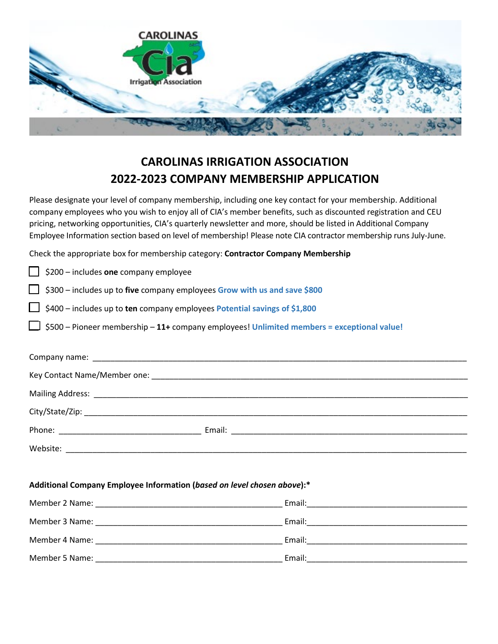

## **CAROLINAS IRRIGATION ASSOCIATION 2022-2023 COMPANY MEMBERSHIP APPLICATION**

Please designate your level of company membership, including one key contact for your membership. Additional company employees who you wish to enjoy all of CIA's member benefits, such as discounted registration and CEU pricing, networking opportunities, CIA's quarterly newsletter and more, should be listed in Additional Company Employee Information section based on level of membership! Please note CIA contractor membership runs July-June.

Check the appropriate box for membership category: **Contractor Company Membership**

| \$200 - includes one company employee                                                      |  |  |
|--------------------------------------------------------------------------------------------|--|--|
| \$300 - includes up to five company employees Grow with us and save \$800                  |  |  |
| \$400 - includes up to ten company employees Potential savings of \$1,800                  |  |  |
| \$500 - Pioneer membership - 11+ company employees! Unlimited members = exceptional value! |  |  |
|                                                                                            |  |  |
|                                                                                            |  |  |
|                                                                                            |  |  |
|                                                                                            |  |  |
|                                                                                            |  |  |
|                                                                                            |  |  |
|                                                                                            |  |  |
|                                                                                            |  |  |
| Additional Company Employee Information (based on level chosen above):*                    |  |  |
|                                                                                            |  |  |
|                                                                                            |  |  |
|                                                                                            |  |  |
|                                                                                            |  |  |